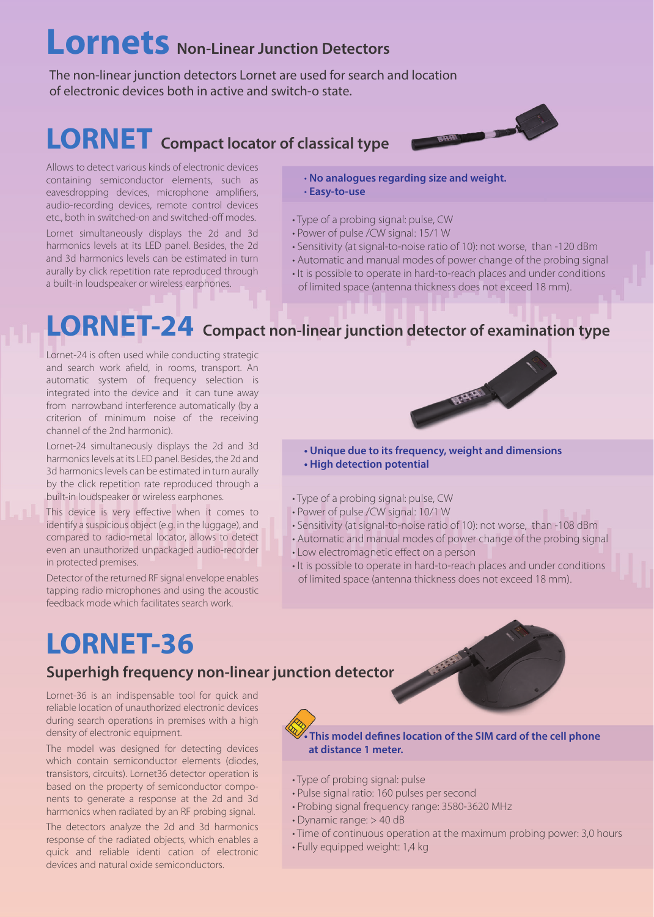# **Lornets Non-Linear Junction Detectors**

The non-linear junction detectors Lornet are used for search and location of electronic devices both in active and switch-o state.

### **LORNET** Compact locator of classical type



Allows to detect various kinds of electronic devices containing semiconductor elements, such as eavesdropping devices, microphone amplifiers, audio-recording devices, remote control devices etc., both in switched-on and switched-off modes.

Lornet simultaneously displays the 2d and 3d harmonics levels at its LED panel. Besides, the 2d and 3d harmonics levels can be estimated in turn aurally by click repetition rate reproduced through a built-in loudspeaker or wireless earphones.

• **No analogues regarding size and weight.** • **Easy-to-use** 

- Type of a probing signal: pulse, CW
- Power of pulse /CW signal: 15/1 W
- Sensitivity (at signal-to-noise ratio of 10): not worse, than -120 dBm
- Automatic and manual modes of power change of the probing signal
- It is possible to operate in hard-to-reach places and under conditions of limited space (antenna thickness does not exceed 18 mm).

**ARRIV** 

# **LORNET-24 Compact non-linear junction detector of examination type**

Lornet-24 is often used while conducting strategic and search work afield, in rooms, transport. An automatic system of frequency selection is integrated into the device and it can tune away from narrowband interference automatically (by a criterion of minimum noise of the receiving channel of the 2nd harmonic).

Lornet-24 simultaneously displays the 2d and 3d harmonics levels at its LED panel. Besides, the 2d and 3d harmonics levels can be estimated in turn aurally by the click repetition rate reproduced through a built-in loudspeaker or wireless earphones.

This device is very effective when it comes to identify a suspicious object (e.g. in the luggage), and compared to radio-metal locator, allows to detect even an unauthorized unpackaged audio-recorder in protected premises.

Detector of the returned RF signal envelope enables tapping radio microphones and using the acoustic feedback mode which facilitates search work.

#### **• Unique due to its frequency, weight and dimensions**

- **High detection potential**
- Type of a probing signal: pulse, CW
- Power of pulse /CW signal: 10/1 W
- Sensitivity (at signal-to-noise ratio of 10): not worse, than -108 dBm
- Automatic and manual modes of power change of the probing signal
- Low electromagnetic effect on a person
- It is possible to operate in hard-to-reach places and under conditions of limited space (antenna thickness does not exceed 18 mm).

## **LORNET-36**

#### **Superhigh frequency non-linear junction detector**

Lornet-36 is an indispensable tool for quick and reliable location of unauthorized electronic devices during search operations in premises with a high density of electronic equipment.

The model was designed for detecting devices which contain semiconductor elements (diodes, transistors, circuits). Lornet36 detector operation is based on the property of semiconductor components to generate a response at the 2d and 3d harmonics when radiated by an RF probing signal.

The detectors analyze the 2d and 3d harmonics response of the radiated objects, which enables a quick and reliable identi cation of electronic devices and natural oxide semiconductors.

**• This model defines location of the SIM card of the cell phone at distance 1 meter.**

- Type of probing signal: pulse
- Pulse signal ratio: 160 pulses per second
- Probing signal frequency range: 3580-3620 MHz
- Dynamic range: > 40 dB
- Time of continuous operation at the maximum probing power: 3,0 hours
- Fully equipped weight: 1,4 kg